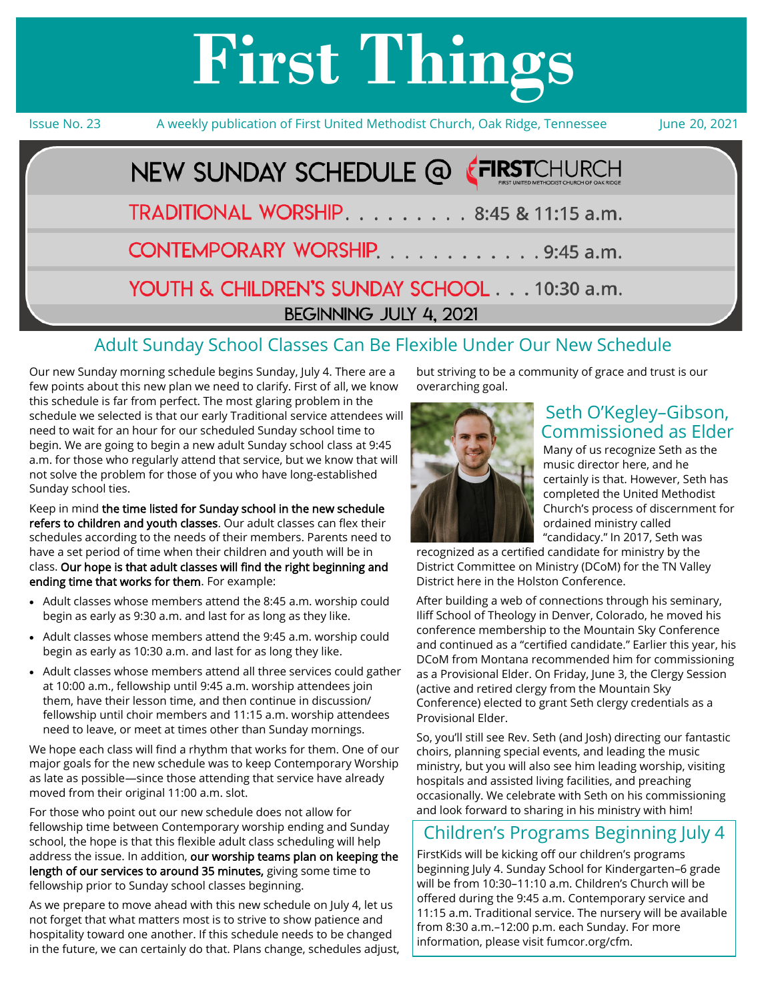# **First Things**

Issue No. 23 A weekly publication of First United Methodist Church, Oak Ridge, Tennessee June 20, 2021



### Adult Sunday School Classes Can Be Flexible Under Our New Schedule

Our new Sunday morning schedule begins Sunday, July 4. There are a few points about this new plan we need to clarify. First of all, we know this schedule is far from perfect. The most glaring problem in the schedule we selected is that our early Traditional service attendees will need to wait for an hour for our scheduled Sunday school time to begin. We are going to begin a new adult Sunday school class at 9:45 a.m. for those who regularly attend that service, but we know that will not solve the problem for those of you who have long-established Sunday school ties.

Keep in mind the time listed for Sunday school in the new schedule refers to children and youth classes. Our adult classes can flex their schedules according to the needs of their members. Parents need to have a set period of time when their children and youth will be in class. Our hope is that adult classes will find the right beginning and ending time that works for them. For example:

- Adult classes whose members attend the 8:45 a.m. worship could begin as early as 9:30 a.m. and last for as long as they like.
- Adult classes whose members attend the 9:45 a.m. worship could begin as early as 10:30 a.m. and last for as long they like.
- Adult classes whose members attend all three services could gather at 10:00 a.m., fellowship until 9:45 a.m. worship attendees join them, have their lesson time, and then continue in discussion/ fellowship until choir members and 11:15 a.m. worship attendees need to leave, or meet at times other than Sunday mornings.

We hope each class will find a rhythm that works for them. One of our major goals for the new schedule was to keep Contemporary Worship as late as possible—since those attending that service have already moved from their original 11:00 a.m. slot.

For those who point out our new schedule does not allow for fellowship time between Contemporary worship ending and Sunday school, the hope is that this flexible adult class scheduling will help address the issue. In addition, our worship teams plan on keeping the length of our services to around 35 minutes, giving some time to fellowship prior to Sunday school classes beginning.

As we prepare to move ahead with this new schedule on July 4, let us not forget that what matters most is to strive to show patience and hospitality toward one another. If this schedule needs to be changed in the future, we can certainly do that. Plans change, schedules adjust, but striving to be a community of grace and trust is our overarching goal.



### Seth O'Kegley–Gibson, Commissioned as Elder

 Many of us recognize Seth as the music director here, and he certainly is that. However, Seth has completed the United Methodist Church's process of discernment for ordained ministry called "candidacy." In 2017, Seth was

recognized as a certified candidate for ministry by the District Committee on Ministry (DCoM) for the TN Valley District here in the Holston Conference.

After building a web of connections through his seminary, Iliff School of Theology in Denver, Colorado, he moved his conference membership to the Mountain Sky Conference and continued as a "certified candidate." Earlier this year, his DCoM from Montana recommended him for commissioning as a Provisional Elder. On Friday, June 3, the Clergy Session (active and retired clergy from the Mountain Sky Conference) elected to grant Seth clergy credentials as a Provisional Elder.

So, you'll still see Rev. Seth (and Josh) directing our fantastic choirs, planning special events, and leading the music ministry, but you will also see him leading worship, visiting hospitals and assisted living facilities, and preaching occasionally. We celebrate with Seth on his commissioning and look forward to sharing in his ministry with him!

### Children's Programs Beginning July 4

FirstKids will be kicking off our children's programs beginning July 4. Sunday School for Kindergarten–6 grade will be from 10:30–11:10 a.m. Children's Church will be offered during the 9:45 a.m. Contemporary service and 11:15 a.m. Traditional service. The nursery will be available from 8:30 a.m.–12:00 p.m. each Sunday. For more information, please visit fumcor.org/cfm.